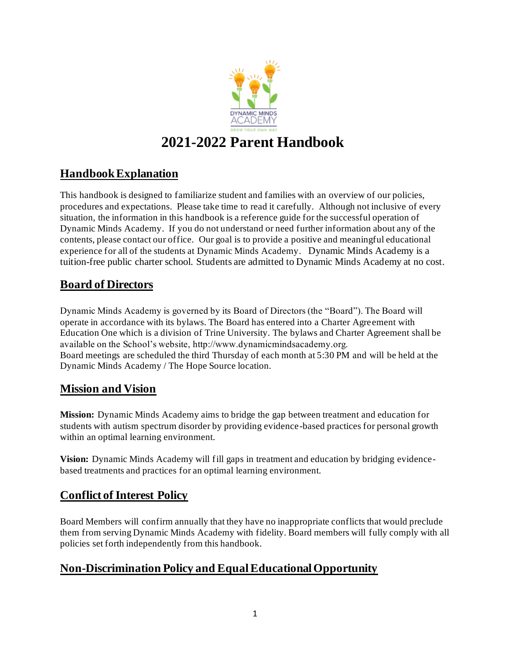

# **2021-2022 Parent Handbook**

## **Handbook Explanation**

This handbook is designed to familiarize student and families with an overview of our policies, procedures and expectations. Please take time to read it carefully. Although not inclusive of every situation, the information in this handbook is a reference guide for the successful operation of Dynamic Minds Academy. If you do not understand or need further information about any of the contents, please contact our office. Our goal is to provide a positive and meaningful educational experience for all of the students at Dynamic Minds Academy. Dynamic Minds Academy is a tuition-free public charter school. Students are admitted to Dynamic Minds Academy at no cost.

## **Board of Directors**

Dynamic Minds Academy is governed by its Board of Directors (the "Board"). The Board will operate in accordance with its bylaws. The Board has entered into a Charter Agreement with Education One which is a division of Trine University. The bylaws and Charter Agreement shall be available on the School's website, http://www.dynamicmindsacademy.org. Board meetings are scheduled the third Thursday of each month at 5:30 PM and will be held at the Dynamic Minds Academy / The Hope Source location.

## **Mission and Vision**

**Mission:** Dynamic Minds Academy aims to bridge the gap between treatment and education for students with autism spectrum disorder by providing evidence-based practices for personal growth within an optimal learning environment.

**Vision:** Dynamic Minds Academy will fill gaps in treatment and education by bridging evidencebased treatments and practices for an optimal learning environment.

### **Conflict of Interest Policy**

Board Members will confirm annually that they have no inappropriate conflicts that would preclude them from serving Dynamic Minds Academy with fidelity. Board members will fully comply with all policies set forth independently from this handbook.

### **Non-Discrimination Policy and Equal Educational Opportunity**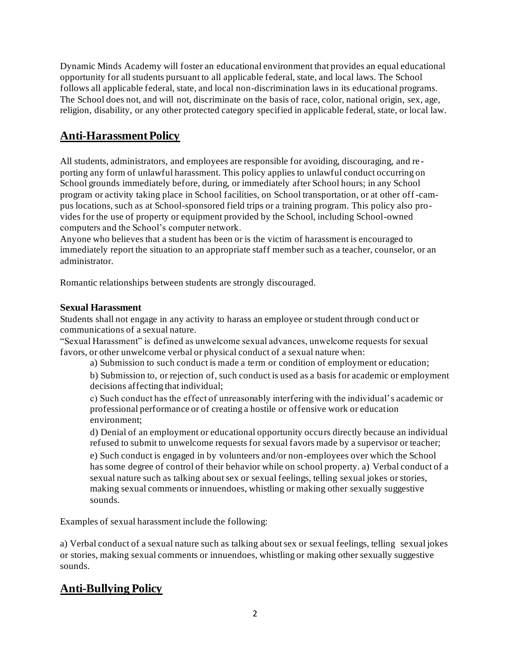Dynamic Minds Academy will foster an educational environment that provides an equal educational opportunity for all students pursuant to all applicable federal, state, and local laws. The School follows all applicable federal, state, and local non-discrimination laws in its educational programs. The School does not, and will not, discriminate on the basis of race, color, national origin, sex, age, religion, disability, or any other protected category specified in applicable federal, state, or local law.

## **Anti-Harassment Policy**

All students, administrators, and employees are responsible for avoiding, discouraging, and re porting any form of unlawful harassment. This policy applies to unlawful conduct occurring on School grounds immediately before, during, or immediately after School hours; in any School program or activity taking place in School facilities, on School transportation, or at other off-campus locations, such as at School-sponsored field trips or a training program. This policy also provides for the use of property or equipment provided by the School, including School-owned computers and the School's computer network.

Anyone who believes that a student has been or is the victim of harassment is encouraged to immediately report the situation to an appropriate staff member such as a teacher, counselor, or an administrator.

Romantic relationships between students are strongly discouraged.

### **Sexual Harassment**

Students shall not engage in any activity to harass an employee or student through cond uct or communications of a sexual nature.

"Sexual Harassment" is defined as unwelcome sexual advances, unwelcome requests for sexual favors, or other unwelcome verbal or physical conduct of a sexual nature when:

a) Submission to such conduct is made a term or condition of employment or education;

b) Submission to, or rejection of, such conduct is used as a basis for academic or employment decisions affecting that individual;

c) Such conduct has the effect of unreasonably interfering with the individual's academic or professional performance or of creating a hostile or offensive work or education environment;

d) Denial of an employment or educational opportunity occurs directly because an individual refused to submit to unwelcome requests for sexual favors made by a supervisor or teacher;

e) Such conduct is engaged in by volunteers and/or non-employees over which the School has some degree of control of their behavior while on school property. a) Verbal conduct of a sexual nature such as talking about sex or sexual feelings, telling sexual jokes or stories, making sexual comments or innuendoes, whistling or making other sexually suggestive sounds.

Examples of sexual harassment include the following:

a) Verbal conduct of a sexual nature such as talking about sex or sexual feelings, telling sexual jokes or stories, making sexual comments or innuendoes, whistling or making other sexually suggestive sounds.

## **Anti-Bullying Policy**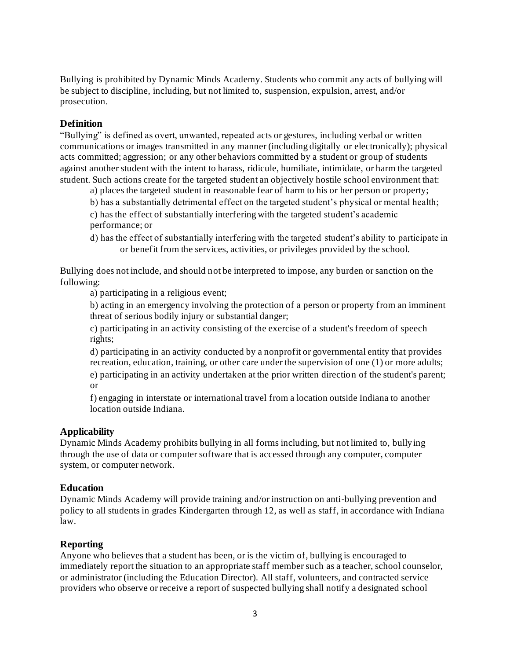Bullying is prohibited by Dynamic Minds Academy. Students who commit any acts of bullying will be subject to discipline, including, but not limited to, suspension, expulsion, arrest, and/or prosecution.

### **Definition**

"Bullying" is defined as overt, unwanted, repeated acts or gestures, including verbal or written communications or images transmitted in any manner (including digitally or electronically); physical acts committed; aggression; or any other behaviors committed by a student or group of students against another student with the intent to harass, ridicule, humiliate, intimidate, or harm the targeted student. Such actions create for the targeted student an objectively hostile school environment that:

a) places the targeted student in reasonable fear of harm to his or her person or property;

b) has a substantially detrimental effect on the targeted student's physical or mental health;

c) has the effect of substantially interfering with the targeted student's academic performance; or

d) has the effect of substantially interfering with the targeted student's ability to participate in or benefit from the services, activities, or privileges provided by the school.

Bullying does not include, and should not be interpreted to impose, any burden or sanction on the following:

a) participating in a religious event;

b) acting in an emergency involving the protection of a person or property from an imminent threat of serious bodily injury or substantial danger;

c) participating in an activity consisting of the exercise of a student's freedom of speech rights;

d) participating in an activity conducted by a nonprofit or governmental entity that provides recreation, education, training, or other care under the supervision of one (1) or more adults;

e) participating in an activity undertaken at the prior written direction of the student's parent; or

f) engaging in interstate or international travel from a location outside Indiana to another location outside Indiana.

#### **Applicability**

Dynamic Minds Academy prohibits bullying in all forms including, but not limited to, bully ing through the use of data or computer software that is accessed through any computer, computer system, or computer network.

#### **Education**

Dynamic Minds Academy will provide training and/or instruction on anti-bullying prevention and policy to all students in grades Kindergarten through 12, as well as staff, in accordance with Indiana law.

#### **Reporting**

Anyone who believes that a student has been, or is the victim of, bullying is encouraged to immediately report the situation to an appropriate staff member such as a teacher, school counselor, or administrator (including the Education Director). All staff, volunteers, and contracted service providers who observe or receive a report of suspected bullying shall notify a designated school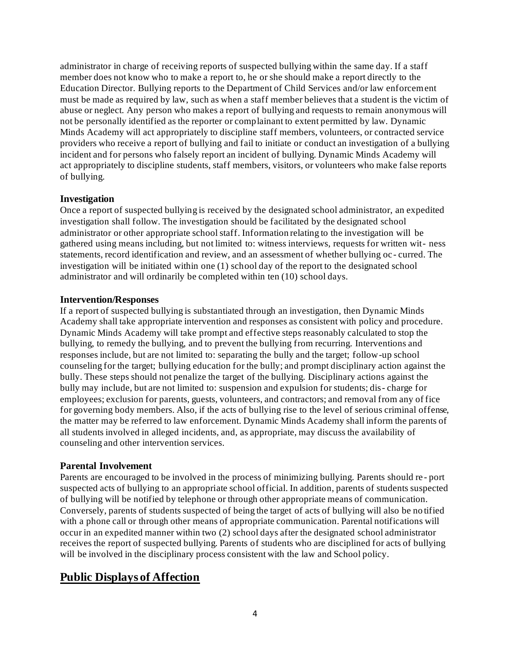administrator in charge of receiving reports of suspected bullying within the same day. If a staff member does not know who to make a report to, he or she should make a report directly to the Education Director. Bullying reports to the Department of Child Services and/or law enforcement must be made as required by law, such as when a staff member believes that a student is the victim of abuse or neglect. Any person who makes a report of bullying and requests to remain anonymous will not be personally identified as the reporter or complainant to extent permitted by law. Dynamic Minds Academy will act appropriately to discipline staff members, volunteers, or contracted service providers who receive a report of bullying and fail to initiate or conduct an investigation of a bullying incident and for persons who falsely report an incident of bullying. Dynamic Minds Academy will act appropriately to discipline students, staff members, visitors, or volunteers who make false reports of bullying.

#### **Investigation**

Once a report of suspected bullying is received by the designated school administrator, an expedited investigation shall follow. The investigation should be facilitated by the designated school administrator or other appropriate school staff. Information relating to the investigation will be gathered using means including, but not limited to: witness interviews, requests for written wit- ness statements, record identification and review, and an assessment of whether bullying oc - curred. The investigation will be initiated within one (1) school day of the report to the designated school administrator and will ordinarily be completed within ten (10) school days.

#### **Intervention/Responses**

If a report of suspected bullying is substantiated through an investigation, then Dynamic Minds Academy shall take appropriate intervention and responses as consistent with policy and procedure. Dynamic Minds Academy will take prompt and effective steps reasonably calculated to stop the bullying, to remedy the bullying, and to prevent the bullying from recurring. Interventions and responses include, but are not limited to: separating the bully and the target; follow-up school counseling for the target; bullying education for the bully; and prompt disciplinary action against the bully. These steps should not penalize the target of the bullying. Disciplinary actions against the bully may include, but are not limited to: suspension and expulsion for students; dis- charge for employees; exclusion for parents, guests, volunteers, and contractors; and removal from any of fice for governing body members. Also, if the acts of bullying rise to the level of serious criminal offense, the matter may be referred to law enforcement. Dynamic Minds Academy shall inform the parents of all students involved in alleged incidents, and, as appropriate, may discuss the availability of counseling and other intervention services.

#### **Parental Involvement**

Parents are encouraged to be involved in the process of minimizing bullying. Parents should re - port suspected acts of bullying to an appropriate school official. In addition, parents of students suspected of bullying will be notified by telephone or through other appropriate means of communication. Conversely, parents of students suspected of being the target of acts of bullying will also be no tified with a phone call or through other means of appropriate communication. Parental notifications will occur in an expedited manner within two (2) school days after the designated school administrator receives the report of suspected bullying. Parents of students who are disciplined for acts of bullying will be involved in the disciplinary process consistent with the law and School policy.

### **Public Displays of Affection**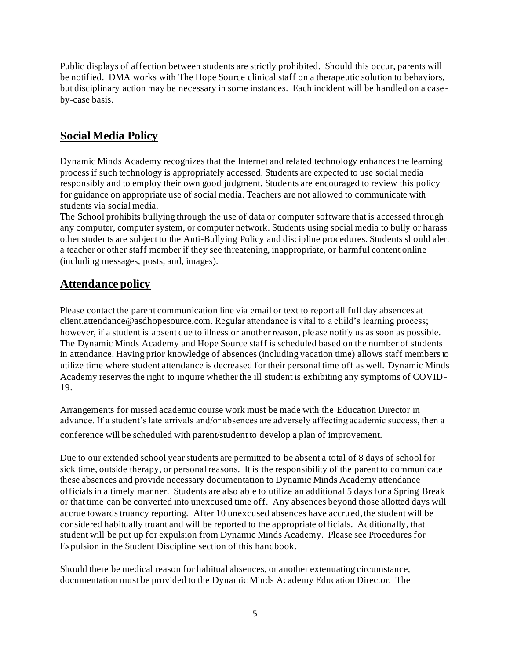Public displays of affection between students are strictly prohibited. Should this occur, parents will be notified. DMA works with The Hope Source clinical staff on a therapeutic solution to behaviors, but disciplinary action may be necessary in some instances. Each incident will be handled on a case by-case basis.

### **Social Media Policy**

Dynamic Minds Academy recognizes that the Internet and related technology enhances the learning process if such technology is appropriately accessed. Students are expected to use social media responsibly and to employ their own good judgment. Students are encouraged to review this policy for guidance on appropriate use of social media. Teachers are not allowed to communicate with students via social media.

The School prohibits bullying through the use of data or computer software that is accessed through any computer, computer system, or computer network. Students using social media to bully or harass other students are subject to the Anti-Bullying Policy and discipline procedures. Students should alert a teacher or other staff member if they see threatening, inappropriate, or harmful content online (including messages, posts, and, images).

## **Attendance policy**

Please contact the parent communication line via email or text to report all full day absences at client.attendance@asdhopesource.com. Regular attendance is vital to a child's learning process; however, if a student is absent due to illness or another reason, please notify us as soon as possible. The Dynamic Minds Academy and Hope Source staff is scheduled based on the number of students in attendance. Having prior knowledge of absences (including vacation time) allows staff members to utilize time where student attendance is decreased for their personal time off as well. Dynamic Minds Academy reserves the right to inquire whether the ill student is exhibiting any symptoms of COVID-19.

Arrangements for missed academic course work must be made with the Education Director in advance. If a student's late arrivals and/or absences are adversely affecting academic success, then a conference will be scheduled with parent/student to develop a plan of improvement.

Due to our extended school year students are permitted to be absent a total of 8 days of school for sick time, outside therapy, or personal reasons. It is the responsibility of the parent to communicate these absences and provide necessary documentation to Dynamic Minds Academy attendance officials in a timely manner. Students are also able to utilize an additional 5 days for a Spring Break or that time can be converted into unexcused time off. Any absences beyond those allotted days will accrue towards truancy reporting. After 10 unexcused absences have accrued, the student will be considered habitually truant and will be reported to the appropriate officials. Additionally, that student will be put up for expulsion from Dynamic Minds Academy. Please see Procedures for Expulsion in the Student Discipline section of this handbook.

Should there be medical reason for habitual absences, or another extenuating circumstance, documentation must be provided to the Dynamic Minds Academy Education Director. The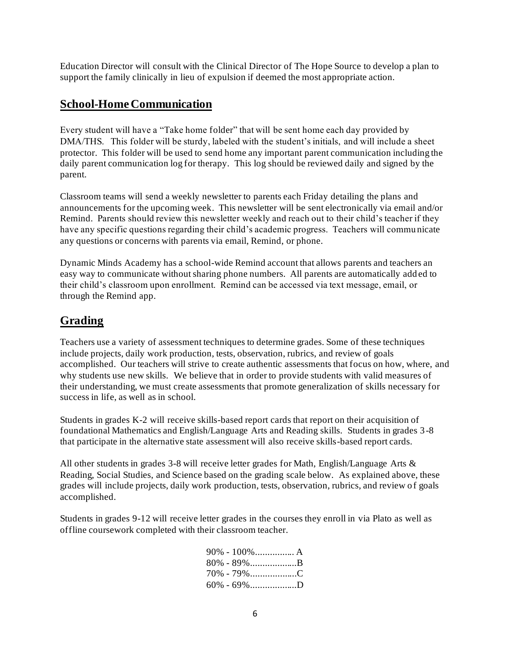Education Director will consult with the Clinical Director of The Hope Source to develop a plan to support the family clinically in lieu of expulsion if deemed the most appropriate action.

### **School-HomeCommunication**

Every student will have a "Take home folder" that will be sent home each day provided by DMA/THS. This folder will be sturdy, labeled with the student's initials, and will include a sheet protector. This folder will be used to send home any important parent communication including the daily parent communication log for therapy. This log should be reviewed daily and signed by the parent.

Classroom teams will send a weekly newsletter to parents each Friday detailing the plans and announcements for the upcoming week. This newsletter will be sent electronically via email and/or Remind. Parents should review this newsletter weekly and reach out to their child's teacher if they have any specific questions regarding their child's academic progress. Teachers will commu nicate any questions or concerns with parents via email, Remind, or phone.

Dynamic Minds Academy has a school-wide Remind account that allows parents and teachers an easy way to communicate without sharing phone numbers. All parents are automatically add ed to their child's classroom upon enrollment. Remind can be accessed via text message, email, or through the Remind app.

## **Grading**

Teachers use a variety of assessment techniques to determine grades. Some of these techniques include projects, daily work production, tests, observation, rubrics, and review of goals accomplished. Our teachers will strive to create authentic assessments that focus on how, where, and why students use new skills. We believe that in order to provide students with valid measures of their understanding, we must create assessments that promote generalization of skills necessary for success in life, as well as in school.

Students in grades K-2 will receive skills-based report cards that report on their acquisition of foundational Mathematics and English/Language Arts and Reading skills. Students in grades 3-8 that participate in the alternative state assessment will also receive skills-based report cards.

All other students in grades 3-8 will receive letter grades for Math, English/Language Arts & Reading, Social Studies, and Science based on the grading scale below. As explained above, these grades will include projects, daily work production, tests, observation, rubrics, and review o f goals accomplished.

Students in grades 9-12 will receive letter grades in the courses they enroll in via Plato as well as offline coursework completed with their classroom teacher.

| 90% - 100% A |  |
|--------------|--|
|              |  |
|              |  |
|              |  |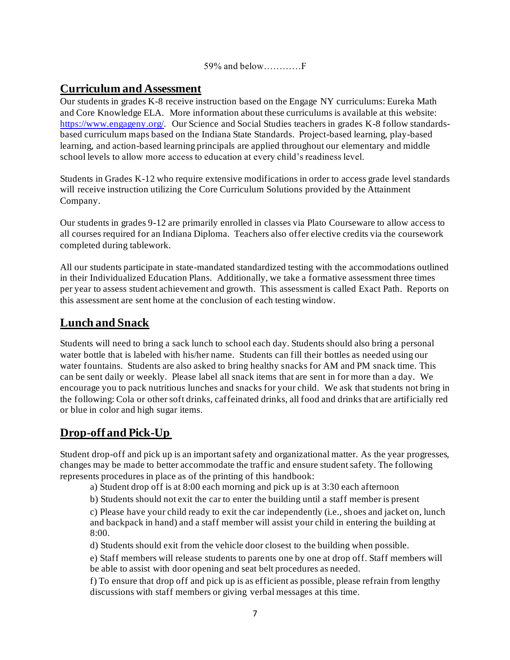59% and below…………F

### **Curriculum and Assessment**

Our students in grades K-8 receive instruction based on the Engage NY curriculums: Eureka Math and Core Knowledge ELA. More information about these curriculums is available at this website: https://www.engageny.org/. Our Science and Social Studies teachers in grades K-8 follow standardsbased curriculum maps based on the Indiana State Standards. Project-based learning, play-based learning, and action-based learning principals are applied throughout our elementary and middle school levels to allow more access to education at every child's readiness level.

Students in Grades K-12 who require extensive modifications in order to access grade level standards will receive instruction utilizing the Core Curriculum Solutions provided by the Attainment Company.

Our students in grades 9-12 are primarily enrolled in classes via Plato Courseware to allow access to all courses required for an Indiana Diploma. Teachers also offer elective credits via the coursework completed during tablework.

All our students participate in state-mandated standardized testing with the accommodations outlined in their Individualized Education Plans. Additionally, we take a formative assessment three times per year to assess student achievement and growth. This assessment is called Exact Path. Reports on this assessment are sent home at the conclusion of each testing window.

## **Lunch and Snack**

Students will need to bring a sack lunch to school each day. Students should also bring a personal water bottle that is labeled with his/her name. Students can fill their bottles as needed using our water fountains. Students are also asked to bring healthy snacks for AM and PM snack time. This can be sent daily or weekly. Please label all snack items that are sent in for more than a day. We encourage you to pack nutritious lunches and snacks for your child. We ask that students not bring in the following: Cola or other soft drinks, caffeinated drinks, all food and drinks that are artificially red or blue in color and high sugar items.

## **Drop-off and Pick-Up**

Student drop-off and pick up is an important safety and organizational matter. As the year progresses, changes may be made to better accommodate the traffic and ensure student safety. The following represents procedures in place as of the printing of this handbook:

a) Student drop off is at 8:00 each morning and pick up is at 3:30 each afternoon

b) Students should not exit the car to enter the building until a staff member is present

c) Please have your child ready to exit the car independently (i.e., shoes and jacket on, lunch and backpack in hand) and a staff member will assist your child in entering the building at 8:00.

d) Students should exit from the vehicle door closest to the building when possible.

e) Staff members will release students to parents one by one at drop off. Staff members will be able to assist with door opening and seat belt procedures as needed.

f) To ensure that drop off and pick up is as efficient as possible, please refrain from lengthy discussions with staff members or giving verbal messages at this time.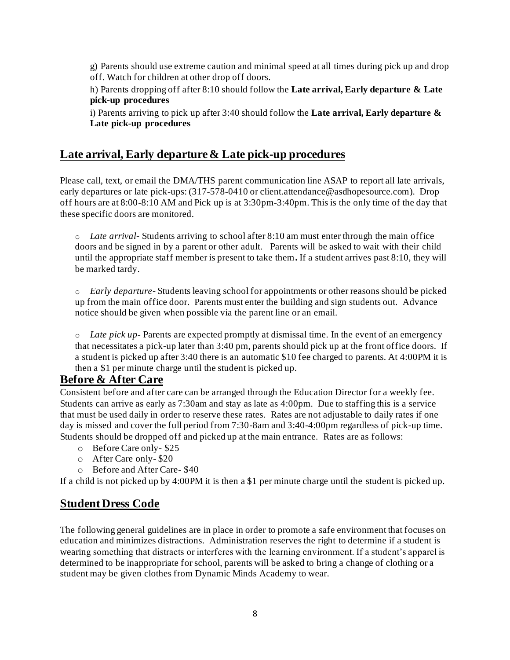g) Parents should use extreme caution and minimal speed at all times during pick up and drop off. Watch for children at other drop off doors.

h) Parents dropping off after 8:10 should follow the **Late arrival, Early departure & Late pick-up procedures** 

i) Parents arriving to pick up after 3:40 should follow the **Late arrival, Early departure & Late pick-up procedures** 

### **Late arrival, Early departure & Late pick-up procedures**

Please call, text, or email the DMA/THS parent communication line ASAP to report all late arrivals, early departures or late pick-ups: (317-578-0410 or client.attendance@asdhopesource.com). Drop off hours are at 8:00-8:10 AM and Pick up is at 3:30pm-3:40pm. This is the only time of the day that these specific doors are monitored.

o *Late arrival*- Students arriving to school after 8:10 am must enter through the main office doors and be signed in by a parent or other adult. Parents will be asked to wait with their child until the appropriate staff member is present to take them**.** If a student arrives past 8:10, they will be marked tardy.

o *Early departure*- Students leaving school for appointments or other reasons should be picked up from the main office door. Parents must enter the building and sign students out. Advance notice should be given when possible via the parent line or an email.

o *Late pick up*- Parents are expected promptly at dismissal time. In the event of an emergency that necessitates a pick-up later than 3:40 pm, parents should pick up at the front office doors. If a student is picked up after 3:40 there is an automatic \$10 fee charged to parents. At 4:00PM it is then a \$1 per minute charge until the student is picked up.

### **Before & After Care**

Consistent before and after care can be arranged through the Education Director for a weekly fee. Students can arrive as early as 7:30am and stay as late as 4:00pm. Due to staffing this is a service that must be used daily in order to reserve these rates. Rates are not adjustable to daily rates if one day is missed and cover the full period from 7:30-8am and 3:40-4:00pm regardless of pick-up time. Students should be dropped off and picked up at the main entrance. Rates are as follows:

- o Before Care only- \$25
- o After Care only- \$20
- o Before and After Care- \$40

If a child is not picked up by 4:00PM it is then a \$1 per minute charge until the student is picked up.

### **Student Dress Code**

The following general guidelines are in place in order to promote a safe environment that focuses on education and minimizes distractions. Administration reserves the right to determine if a student is wearing something that distracts or interferes with the learning environment. If a student's apparel is determined to be inappropriate for school, parents will be asked to bring a change of clothing or a student may be given clothes from Dynamic Minds Academy to wear.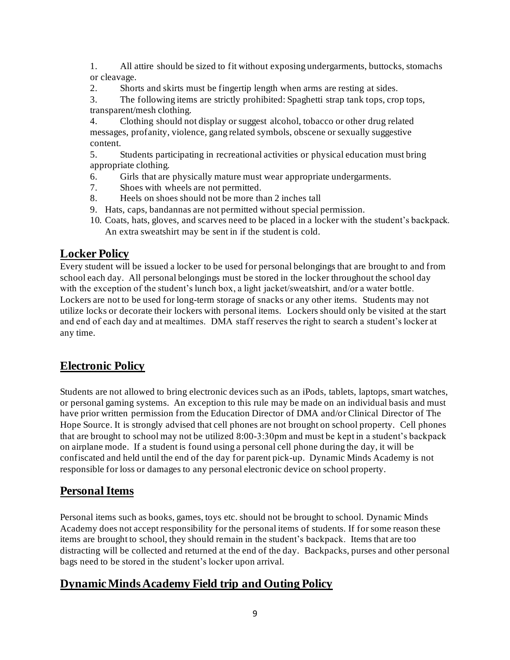1. All attire should be sized to fit without exposing undergarments, buttocks, stomachs or cleavage.

2. Shorts and skirts must be fingertip length when arms are resting at sides.

3. The following items are strictly prohibited: Spaghetti strap tank tops, crop tops, transparent/mesh clothing.

4. Clothing should not display or suggest alcohol, tobacco or other drug related messages, profanity, violence, gang related symbols, obscene or sexually suggestive content.

5. Students participating in recreational activities or physical education must bring appropriate clothing.

- 6. Girls that are physically mature must wear appropriate undergarments.
- 7. Shoes with wheels are not permitted.
- 8. Heels on shoes should not be more than 2 inches tall
- 9. Hats, caps, bandannas are not permitted without special permission.
- 10. Coats, hats, gloves, and scarves need to be placed in a locker with the student's backpack. An extra sweatshirt may be sent in if the student is cold.

## **Locker Policy**

Every student will be issued a locker to be used for personal belongings that are brought to and from school each day. All personal belongings must be stored in the locker throughout the school day with the exception of the student's lunch box, a light jacket/sweatshirt, and/or a water bottle. Lockers are not to be used for long-term storage of snacks or any other items. Students may not utilize locks or decorate their lockers with personal items. Lockers should only be visited at the start and end of each day and at mealtimes. DMA staff reserves the right to search a student's locker at any time.

## **Electronic Policy**

Students are not allowed to bring electronic devices such as an iPods, tablets, laptops, smart watches, or personal gaming systems. An exception to this rule may be made on an individual basis and must have prior written permission from the Education Director of DMA and/or Clinical Director of The Hope Source. It is strongly advised that cell phones are not brought on school property. Cell phones that are brought to school may not be utilized 8:00-3:30pm and must be kept in a student's backpack on airplane mode. If a student is found using a personal cell phone during the day, it will be confiscated and held until the end of the day for parent pick-up. Dynamic Minds Academy is not responsible for loss or damages to any personal electronic device on school property.

## **Personal Items**

Personal items such as books, games, toys etc. should not be brought to school. Dynamic Minds Academy does not accept responsibility for the personal items of students. If for some reason these items are brought to school, they should remain in the student's backpack. Items that are too distracting will be collected and returned at the end of the day. Backpacks, purses and other personal bags need to be stored in the student's locker upon arrival.

## **Dynamic Minds Academy Field trip and Outing Policy**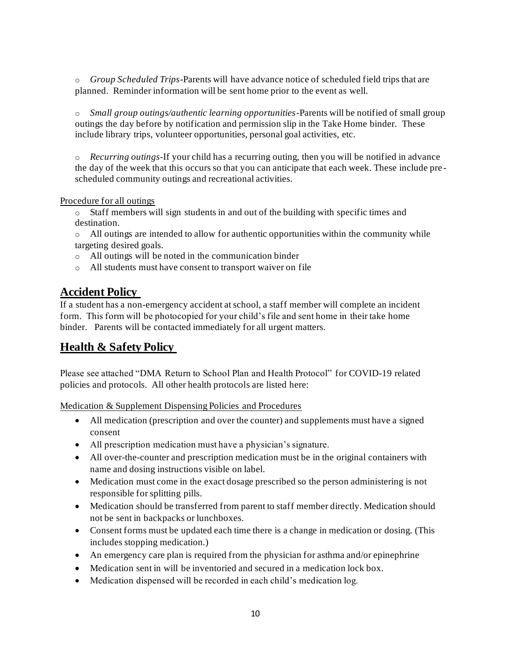o *Group Scheduled Trips*-Parents will have advance notice of scheduled field trips that are planned. Reminder information will be sent home prior to the event as well.

o *Small group outings/authentic learning opportunities*-Parents will be notified of small group outings the day before by notification and permission slip in the Take Home binder. These include library trips, volunteer opportunities, personal goal activities, etc.

o *Recurring outings*-If your child has a recurring outing, then you will be notified in advance the day of the week that this occurs so that you can anticipate that each week. These include pre scheduled community outings and recreational activities.

#### Procedure for all outings

 $\circ$  Staff members will sign students in and out of the building with specific times and destination.

o All outings are intended to allow for authentic opportunities within the community while targeting desired goals.

- o All outings will be noted in the communication binder
- o All students must have consent to transport waiver on file

### **Accident Policy**

If a student has a non-emergency accident at school, a staff member will complete an incident form. This form will be photocopied for your child's file and sent home in their take home binder. Parents will be contacted immediately for all urgent matters.

## **Health & Safety Policy**

Please see attached "DMA Return to School Plan and Health Protocol" for COVID-19 related policies and protocols. All other health protocols are listed here:

Medication & Supplement Dispensing Policies and Procedures

- All medication (prescription and over the counter) and supplements must have a signed consent
- All prescription medication must have a physician's signature.
- All over-the-counter and prescription medication must be in the original containers with name and dosing instructions visible on label.
- Medication must come in the exact dosage prescribed so the person administering is not responsible for splitting pills.
- Medication should be transferred from parent to staff member directly. Medication should not be sent in backpacks or lunchboxes.
- Consent forms must be updated each time there is a change in medication or dosing. (This includes stopping medication.)
- An emergency care plan is required from the physician for asthma and/or epinephrine
- Medication sent in will be inventoried and secured in a medication lock box.
- Medication dispensed will be recorded in each child's medication log.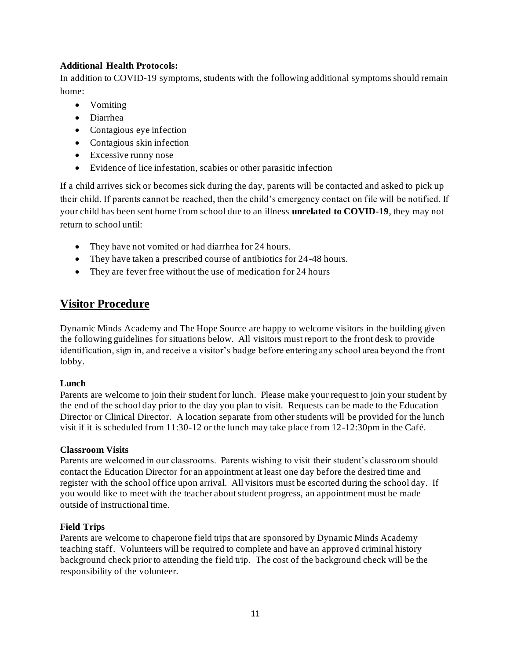### **Additional Health Protocols:**

In addition to COVID-19 symptoms, students with the following additional symptoms should remain home:

- Vomiting
- Diarrhea
- Contagious eye infection
- Contagious skin infection
- Excessive runny nose
- Evidence of lice infestation, scabies or other parasitic infection

If a child arrives sick or becomes sick during the day, parents will be contacted and asked to pick up their child. If parents cannot be reached, then the child's emergency contact on file will be notified. If your child has been sent home from school due to an illness **unrelated to COVID-19**, they may not return to school until:

- They have not vomited or had diarrhea for 24 hours.
- They have taken a prescribed course of antibiotics for 24-48 hours.
- They are fever free without the use of medication for 24 hours

### **Visitor Procedure**

Dynamic Minds Academy and The Hope Source are happy to welcome visitors in the building given the following guidelines for situations below. All visitors must report to the front desk to provide identification, sign in, and receive a visitor's badge before entering any school area beyond the front lobby.

#### **Lunch**

Parents are welcome to join their student for lunch. Please make your request to join your student by the end of the school day prior to the day you plan to visit. Requests can be made to the Education Director or Clinical Director. A location separate from other students will be provided for the lunch visit if it is scheduled from 11:30-12 or the lunch may take place from 12-12:30pm in the Café.

#### **Classroom Visits**

Parents are welcomed in our classrooms. Parents wishing to visit their student's classro om should contact the Education Director for an appointment at least one day before the desired time and register with the school office upon arrival. All visitors must be escorted during the school day. If you would like to meet with the teacher about student progress, an appointment must be made outside of instructional time.

#### **Field Trips**

Parents are welcome to chaperone field trips that are sponsored by Dynamic Minds Academy teaching staff. Volunteers will be required to complete and have an approved criminal history background check prior to attending the field trip. The cost of the background check will be the responsibility of the volunteer.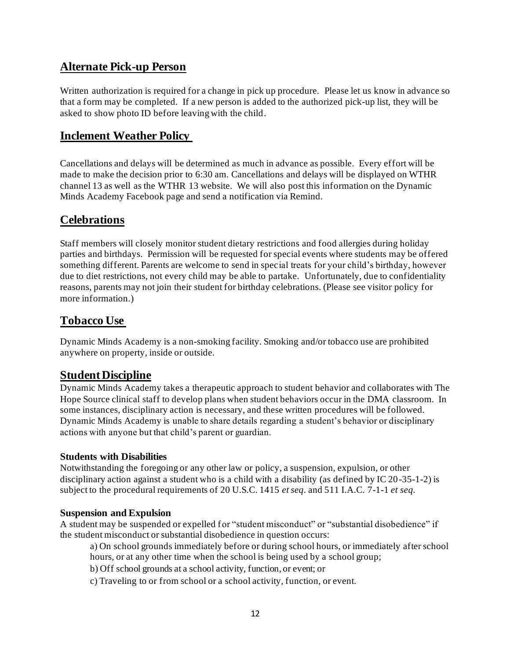### **Alternate Pick-up Person**

Written authorization is required for a change in pick up procedure. Please let us know in advance so that a form may be completed. If a new person is added to the authorized pick-up list, they will be asked to show photo ID before leaving with the child.

### **Inclement Weather Policy**

Cancellations and delays will be determined as much in advance as possible. Every effort will be made to make the decision prior to 6:30 am. Cancellations and delays will be displayed on WTHR channel 13 as well as the WTHR 13 website. We will also post this information on the Dynamic Minds Academy Facebook page and send a notification via Remind.

### **Celebrations**

Staff members will closely monitor student dietary restrictions and food allergies during holiday parties and birthdays. Permission will be requested for special events where students may be offered something different. Parents are welcome to send in special treats for your child's birthday, however due to diet restrictions, not every child may be able to partake. Unfortunately, due to confidentiality reasons, parents may not join their student for birthday celebrations. (Please see visitor policy for more information.)

### **Tobacco Use**

Dynamic Minds Academy is a non-smoking facility. Smoking and/or tobacco use are prohibited anywhere on property, inside or outside.

### **Student Discipline**

Dynamic Minds Academy takes a therapeutic approach to student behavior and collaborates with The Hope Source clinical staff to develop plans when student behaviors occur in the DMA classroom. In some instances, disciplinary action is necessary, and these written procedures will be followed. Dynamic Minds Academy is unable to share details regarding a student's behavior or disciplinary actions with anyone but that child's parent or guardian.

#### **Students with Disabilities**

Notwithstanding the foregoing or any other law or policy, a suspension, expulsion, or other disciplinary action against a student who is a child with a disability (as defined by IC 20-35-1-2) is subject to the procedural requirements of 20 U.S.C. 1415 *et seq.* and 511 I.A.C. 7-1-1 *et seq.*

#### **Suspension and Expulsion**

A student may be suspended or expelled for "student misconduct" or "substantial disobedience" if the student misconduct or substantial disobedience in question occurs:

a) On school grounds immediately before or during school hours, or immediately after school hours, or at any other time when the school is being used by a school group;

- b) Off school grounds at a school activity, function, or event; or
- c) Traveling to or from school or a school activity, function, or event.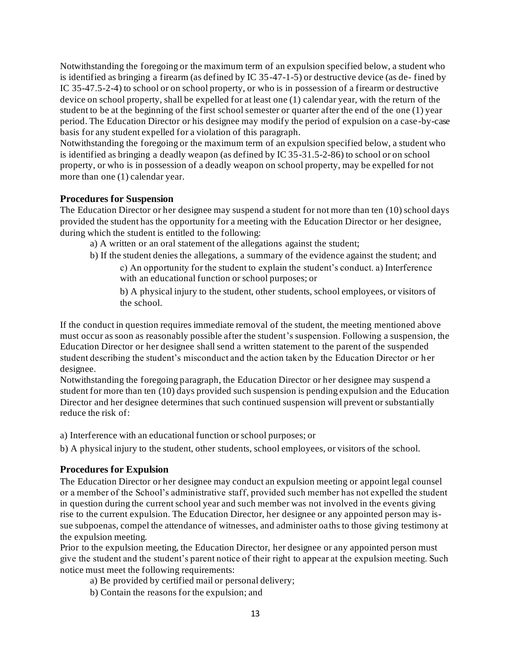Notwithstanding the foregoing or the maximum term of an expulsion specified below, a student who is identified as bringing a firearm (as defined by IC 35-47-1-5) or destructive device (as de- fined by IC 35-47.5-2-4) to school or on school property, or who is in possession of a firearm or destructive device on school property, shall be expelled for at least one (1) calendar year, with the return of the student to be at the beginning of the first school semester or quarter after the end of the one (1) year period. The Education Director or his designee may modify the period of expulsion on a case -by-case basis for any student expelled for a violation of this paragraph.

Notwithstanding the foregoing or the maximum term of an expulsion specified below, a student who is identified as bringing a deadly weapon (as defined by IC 35-31.5-2-86) to school or on school property, or who is in possession of a deadly weapon on school property, may be expelled for not more than one (1) calendar year.

#### **Procedures for Suspension**

The Education Director or her designee may suspend a student for not more than ten (10) school days provided the student has the opportunity for a meeting with the Education Director or her designee, during which the student is entitled to the following:

- a) A written or an oral statement of the allegations against the student;
- b) If the student denies the allegations, a summary of the evidence against the student; and
	- c) An opportunity for the student to explain the student's conduct. a) Interference with an educational function or school purposes; or

b) A physical injury to the student, other students, school employees, or visitors of the school.

If the conduct in question requires immediate removal of the student, the meeting mentioned above must occur as soon as reasonably possible after the student's suspension. Following a suspension, the Education Director or her designee shall send a written statement to the parent of the suspended student describing the student's misconduct and the action taken by the Education Director or h er designee.

Notwithstanding the foregoing paragraph, the Education Director or her designee may suspend a student for more than ten (10) days provided such suspension is pending expulsion and the Education Director and her designee determines that such continued suspension will prevent or substantially reduce the risk of:

- a) Interference with an educational function or school purposes; or
- b) A physical injury to the student, other students, school employees, or visitors of the school.

#### **Procedures for Expulsion**

The Education Director or her designee may conduct an expulsion meeting or appoint legal counsel or a member of the School's administrative staff, provided such member has not expelled the student in question during the current school year and such member was not involved in the events giving rise to the current expulsion. The Education Director, her designee or any appointed person may issue subpoenas, compel the attendance of witnesses, and administer oaths to those giving testimony at the expulsion meeting.

Prior to the expulsion meeting, the Education Director, her designee or any appointed person must give the student and the student's parent notice of their right to appear at the expulsion meeting. Such notice must meet the following requirements:

- a) Be provided by certified mail or personal delivery;
- b) Contain the reasons for the expulsion; and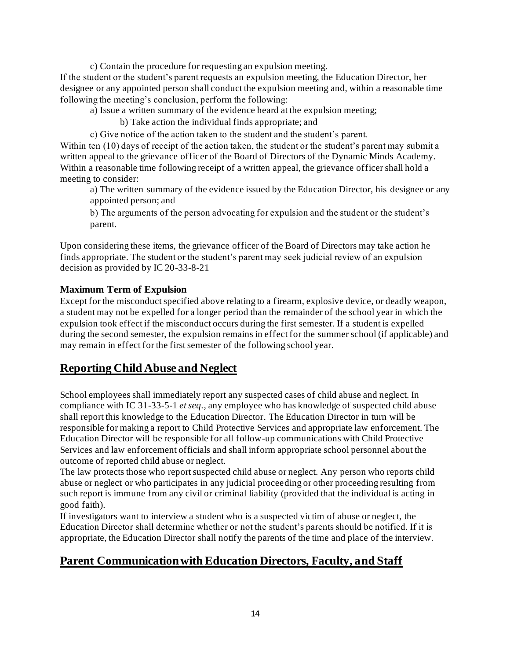c) Contain the procedure for requesting an expulsion meeting.

If the student or the student's parent requests an expulsion meeting, the Education Director, her designee or any appointed person shall conduct the expulsion meeting and, within a reasonable time following the meeting's conclusion, perform the following:

a) Issue a written summary of the evidence heard at the expulsion meeting;

b) Take action the individual finds appropriate; and

c) Give notice of the action taken to the student and the student's parent.

Within ten (10) days of receipt of the action taken, the student or the student's parent may submit a written appeal to the grievance officer of the Board of Directors of the Dynamic Minds Academy. Within a reasonable time following receipt of a written appeal, the grievance officer shall hold a meeting to consider:

a) The written summary of the evidence issued by the Education Director, his designee or any appointed person; and

b) The arguments of the person advocating for expulsion and the student or the student's parent.

Upon considering these items, the grievance officer of the Board of Directors may take action he finds appropriate. The student or the student's parent may seek judicial review of an expulsion decision as provided by IC 20-33-8-21

#### **Maximum Term of Expulsion**

Except for the misconduct specified above relating to a firearm, explosive device, or deadly weapon, a student may not be expelled for a longer period than the remainder of the school year in which the expulsion took effect if the misconduct occurs during the first semester. If a student is expelled during the second semester, the expulsion remains in effect for the summer school (if applicable) and may remain in effect for the first semester of the following school year.

## **Reporting Child Abuse and Neglect**

School employees shall immediately report any suspected cases of child abuse and neglect. In compliance with IC 31-33-5-1 *et seq.*, any employee who has knowledge of suspected child abuse shall report this knowledge to the Education Director*.* The Education Director in turn will be responsible for making a report to Child Protective Services and appropriate law enforcement. The Education Director will be responsible for all follow-up communications with Child Protective Services and law enforcement officials and shall inform appropriate school personnel about the outcome of reported child abuse or neglect.

The law protects those who report suspected child abuse or neglect. Any person who reports child abuse or neglect or who participates in any judicial proceeding or other proceeding resulting from such report is immune from any civil or criminal liability (provided that the individual is acting in good faith).

If investigators want to interview a student who is a suspected victim of abuse or neglect, the Education Director shall determine whether or not the student's parents should be notified. If it is appropriate, the Education Director shall notify the parents of the time and place of the interview.

## **Parent Communication with Education Directors, Faculty, and Staff**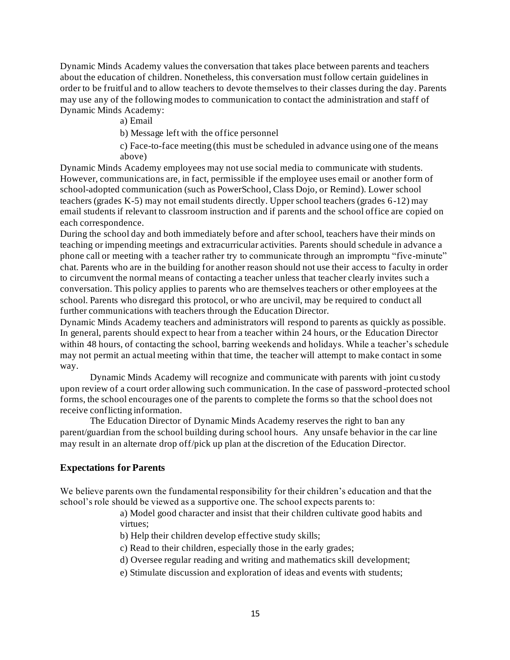Dynamic Minds Academy values the conversation that takes place between parents and teachers about the education of children. Nonetheless, this conversation must follow certain guidelines in order to be fruitful and to allow teachers to devote themselves to their classes during the day. Parents may use any of the following modes to communication to contact the administration and staff of Dynamic Minds Academy:

a) Email

b) Message left with the office personnel

c) Face-to-face meeting (this must be scheduled in advance using one of the means above)

Dynamic Minds Academy employees may not use social media to communicate with students. However, communications are, in fact, permissible if the employee uses email or another form of school-adopted communication (such as PowerSchool, Class Dojo, or Remind). Lower school teachers (grades K-5) may not email students directly. Upper school teachers (grades 6-12) may email students if relevant to classroom instruction and if parents and the school office are copied on each correspondence.

During the school day and both immediately before and after school, teachers have their minds on teaching or impending meetings and extracurricular activities. Parents should schedule in advance a phone call or meeting with a teacher rather try to communicate through an impromptu "five-minute" chat. Parents who are in the building for another reason should not use their access to faculty in order to circumvent the normal means of contacting a teacher unless that teacher clearly invites such a conversation. This policy applies to parents who are themselves teachers or other employees at the school. Parents who disregard this protocol, or who are uncivil, may be required to conduct all further communications with teachers through the Education Director.

Dynamic Minds Academy teachers and administrators will respond to parents as quickly as possible. In general, parents should expect to hear from a teacher within 24 hours, or the Education Director within 48 hours, of contacting the school, barring weekends and holidays. While a teacher's schedule may not permit an actual meeting within that time, the teacher will attempt to make contact in some way.

Dynamic Minds Academy will recognize and communicate with parents with joint custody upon review of a court order allowing such communication. In the case of password -protected school forms, the school encourages one of the parents to complete the forms so that the school does not receive conflicting information.

The Education Director of Dynamic Minds Academy reserves the right to ban any parent/guardian from the school building during school hours. Any unsafe behavior in the car line may result in an alternate drop off/pick up plan at the discretion of the Education Director.

#### **Expectations for Parents**

We believe parents own the fundamental responsibility for their children's education and that the school's role should be viewed as a supportive one. The school expects parents to:

> a) Model good character and insist that their children cultivate good habits and virtues;

b) Help their children develop effective study skills;

- c) Read to their children, especially those in the early grades;
- d) Oversee regular reading and writing and mathematics skill development;
- e) Stimulate discussion and exploration of ideas and events with students;